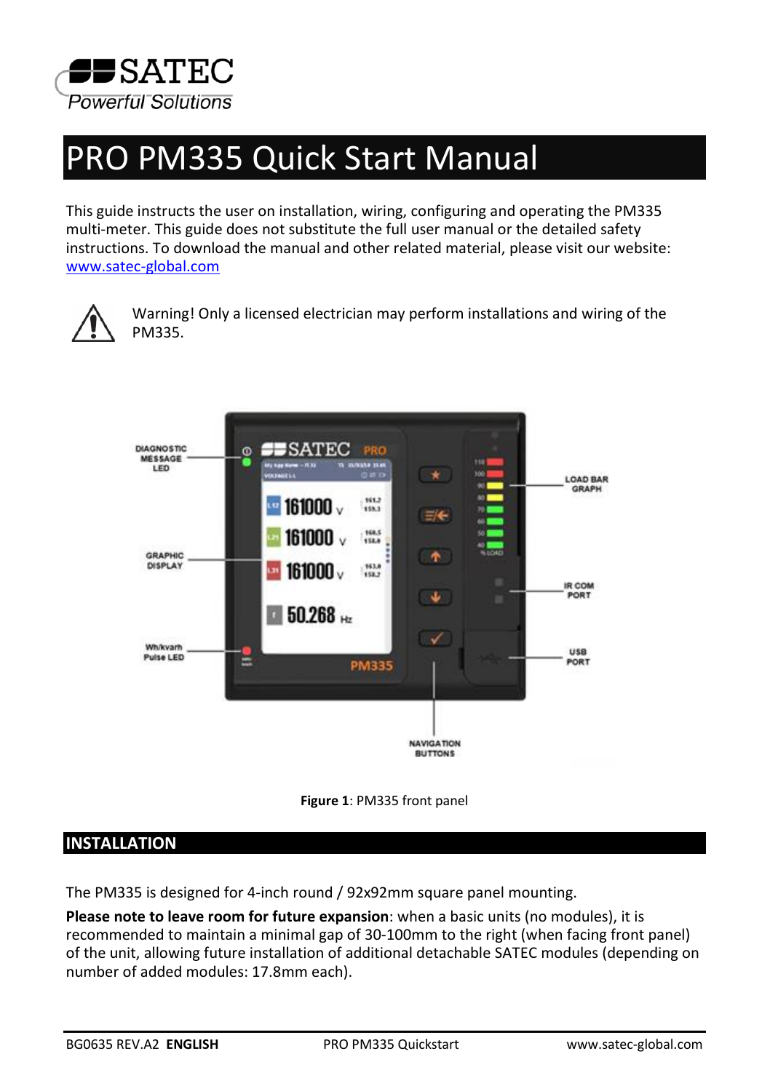

# PRO PM335 Quick Start Manual

This guide instructs the user on installation, wiring, configuring and operating the PM335 multi-meter. This guide does not substitute the full user manual or the detailed safety instructions. To download the manual and other related material, please visit our website: [www.satec-global.com](http://www.satec-global.com/)



Warning! Only a licensed electrician may perform installations and wiring of the PM335.





## **INSTALLATION**

The PM335 is designed for 4-inch round / 92x92mm square panel mounting.

**Please note to leave room for future expansion**: when a basic units (no modules), it is recommended to maintain a minimal gap of 30-100mm to the right (when facing front panel) of the unit, allowing future installation of additional detachable SATEC modules (depending on number of added modules: 17.8mm each).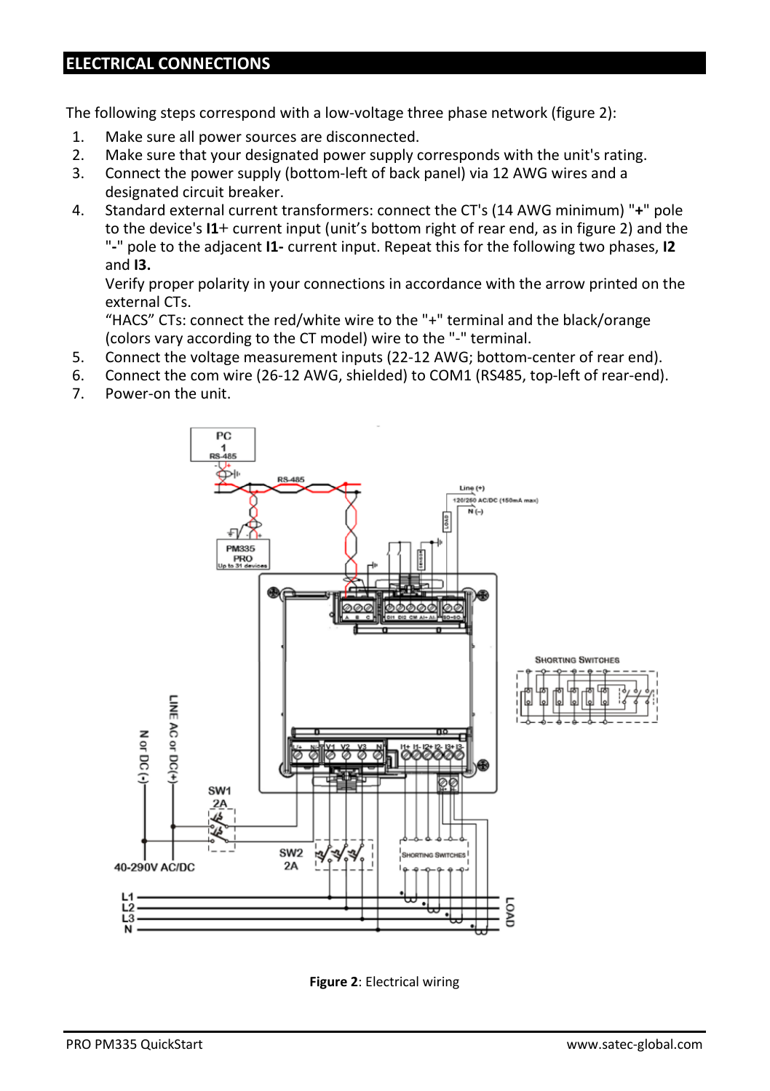#### **ELECTRICAL CONNECTIONS**

The following steps correspond with a low-voltage three phase network (figure 2):

- 1. Make sure all power sources are disconnected.
- 2. Make sure that your designated power supply corresponds with the unit's rating.<br>3. Connect the nower supply (bottom-left of back panel) via 12 AWG wires and a
- 3. Connect the power supply (bottom-left of back panel) via 12 AWG wires and a designated circuit breaker.
- 4. Standard external current transformers: connect the CT's (14 AWG minimum) "**+**" pole to the device's **I1+** current input (unit's bottom right of rear end, as in figure 2) and the "**-**" pole to the adjacent **I1-** current input. Repeat this for the following two phases, **I2** and **I3.**

Verify proper polarity in your connections in accordance with the arrow printed on the external CTs.

"HACS" CTs: connect the red/white wire to the "+" terminal and the black/orange (colors vary according to the CT model) wire to the "-" terminal.

- 5. Connect the voltage measurement inputs (22-12 AWG; bottom-center of rear end).
- 6. Connect the com wire (26-12 AWG, shielded) to COM1 (RS485, top-left of rear-end).<br>7. Power-on the unit.
- Power-on the unit.



**Figure 2**: Electrical wiring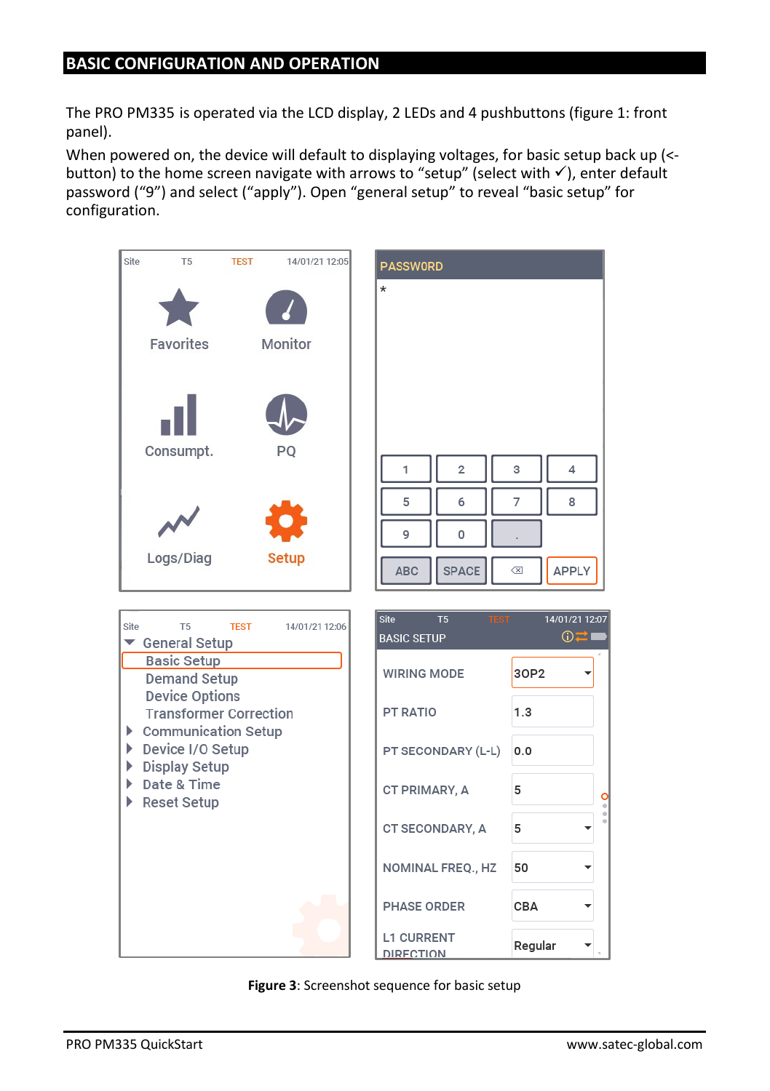#### **BASIC CONFIGURATION AND OPERATION**

The PRO PM335 is operated via the LCD display, 2 LEDs and 4 pushbuttons (figure 1: front panel).

When powered on, the device will default to displaying voltages, for basic setup back up (< button) to the home screen navigate with arrows to "setup" (select with  $\checkmark$ ), enter default password ("9") and select ("apply"). Open "general setup" to reveal "basic setup" for configuration.